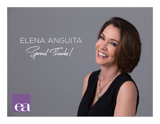# ELENA ANGUITA

Spread Thanks!

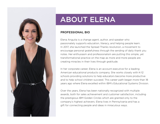

## ABOUT ELENA

### PROFESSIONAL BIO

Elena Anguita is a change agent, author, and speaker who passionately supports education, literacy, and helping people learn. In 2017, she launched the Spread Thanks revolution, a movement to encourage personal gratefulness through the sending of daily thank you notes. Her enthusiasm and professionalism are putting this simple, yet transformational practice on the map as more and more people are creating miracles in their lives through gratitude.

In her corporate career, Elena is an account executive for a leading American educational products company. She works closely with K-12 schools providing solutions to help educators become more productive and to help school children succeed. This career path began more than 18 years ago where Elena excelled within IBM's Educational Systems Division.

Over the years, Elena has been nationally recognized with multiple awards, both for sales achievement and customer satisfaction, including the prestigious IBM Golden Circles which are granted only to the company's highest achievers. Elena lives in Pennsylvania and has a gift for connecting people and ideas in miraculous ways.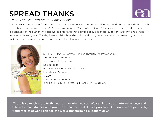# SPREAD THANKS

*Create Miracles Through the Power of Ink*

A firm believer in the transformational power of gratitude, Elena Anguita is taking the world by storm with the launch of her book, *Spread Thanks: Create Miracles through the Power of Ink*. *Spread Thanks* shares the incredible personal experiences of the author who discovered first-hand that a simple daily act of gratitude cantransform one's world. Now in her book *Spread Thanks*, Elena explains how she did it, and how you too can use the power of gratitude to make your life so much happier, more peaceful, and more prosperous.



SPREAD THANKS!: Create Miracles Through the Power of Ink Author: Elena Anguita www.spreadthanks.com **BalboaPress** Publication date: November 3, 2017 Paperback; 150 pages \$12.99 ISBN: 978-1504388818 AVAILABLE ON: AMAZON.COM AND SPREADTHANKS.COM

"There is so much more to the world than what we see. We can impact our internal energy and external circumstances with gratitude. I can prove it. I have proven it. And once more people try it and feel its power, I can see the world transforming exponentially."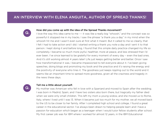

### How did you come up with the idea of the Spread Thanks movement?

I love the way this idea came to me --- it was like a really big "whoosh," and the concept was so powerful it stopped me in my tracks. I saw the phrase "a thank you a day" in my mind when the whoosh hit me and I wasn't even sure at first what it meant. But it called to me so clearly, that I felt I had to take action and I did. I started writing a thank you note a day and I sent it to that person. I kept doing it and before long, I found that this simple daily practice changed my life so completely. I became so much more joyful, healthier, more at peace, and less stressed than I'd ever been. I've since learned to be grateful for every moment of every day – even the bad ones. And it's still working almost 4 years later! Life just keeps getting better and better. Once I saw how transformational it was, I became impassioned to tell everyone about it. I've been giving speeches, doing blogs and promoting my book and the practice and it's raising the energy and the positivity of everyone who tries it. The goodness just keeps rippling out to the world and it seems like an important time to spread more goodness, given all the craziness and tragedy in the news these days.



#### Tell me a little about yourself.

My mother was American who fell in love with a Spaniard and moved to Spain after the wedding. I was born in Madrid, Spain, and I have two sisters also born there, but tragically my father died when we were only small children. This left my mom a young widow, and she moved us to Rome, Italy, where I lived until I was 13. When it became just too much for my mother, we all moved back to the US to be closer to her family. After I completed high school and college, I found a great career in the educational sector. I've always been drawn to helping people learn and I have a passion for education which began as a teenager when I would tutor fellow students after school. My first career job was for IBM where I worked for almost 12 years, in the IBM Educational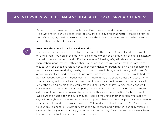Systems division. Now I work as an Account Executive for a leading education services company. I've always felt if your job benefits the life of a child (or adult for that matter), that is a great job. And of course, my passion project on the side is the Spread Thanks movement, which also helps teach others and transform lives.

## $\bf Q$

#### How does the Spread Thanks practice work?

The practice is very simple – it evolved over time into three steps. At first, I started by simply writing a thank you note in the morning, picking up my pen and handwriting the note. I instantly started to notice that my mood shifted to a wonderful feeling of gratitude and as a result, I would then embark upon my day with a higher level of positive energy. I would mail the card on my way to work and that also felt so good. Then coincidentally, I began noticing a nice occurrence would always transpire during the day which, in turn would bring about more gratefulness. Such a positive spiral! All I had to do was to pay attention to my day and without fail I would find that positive occurrence, which I began calling my "daily miracle". It could be just the ideal parking spot appearing out of nowhere, or other times it was a new client connection that appeared out of the blue. Or an old friend would reach out filling me with joy! To me, these wonderful coincidences that brought joy or prosperity became my "daily miracles" and I fully felt these extra good things were happening because of my thank you note practice. Each day I kept my eyes, ears and heart open and sure enough, I could always find another person who made my day a little brighter, and I would know I found my next thank you note recipient. So the three-step practice was formed that anyone can do. 1 - Write and send a thank you note. 2 - Pay attention to your day (be mindful). Watch for someone new to thank and watch for your daily miracle. 3 - Record the daily miracle or happy occurrence from that day. Over time --- these 3 steps have become the spiritual practice I call Spread Thanks.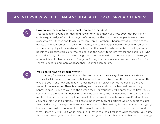

#### How do you manage to write a thank you note every day?

I realize it might sound a bit daunting having to write a thank you note every day but I find it quite easy, actually. When I first began, of course, the thank you note recipients were those closest to me – friends and family. But when I ran out of them, I began paying attention to the events of my day, rather than being distracted, and sure enough I would always find someone who made my day a little easier, a little brighter: the neighbor who accepted a package on my behalf, the grocery store clerk who helped load the heavy items into my car, the bank teller who cracked a funny joke and made me laugh. That person would then become my next thank you note recipient. It's become such a fun game finding that person every day and, best of all, I find I'm more mindful and more at peace than I've ever been before.



#### Why does it have to be handwritten?

I must admit, I've always loved the handwritten word and I've always been an advocate for literacy. I still keep letters and cards that were written to me by my mother and my grandmother who are both gone now, and reading those notes again always brings me back to the love we felt for one another. There is something very personal about the handwritten word – your handwriting is unique to you and the person receiving your note will appreciate the time you've spent writing the note. My friends often tell me when they see my handwriting on a card in their mailbox, their mood is instantly lifted. Would that happen if the note were typed? I don't think so. Since I started this practice, I've since found many published articles which support the idea that handwriting is a very special exercise. For example, handwriting is more creative than typing because it uses all four quadrants of the brain. It was so fun to discover that science supports what I knew intuitively. But what I also love is that in the time it takes to write the thank you note, the person creating the note has time to focus on gratitude which increases that person's energy,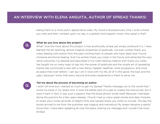taking them to a more joyful, appreciative state. My mood is boosted every time I write a thank you note and then I embark upon my day in a grateful and happier mood. How great is that?



## What do you love about this project?

What I love the most about this project is how profoundly simple yet simply profound it is. I have learned the far-reaching, almost magical, properties of gratitude. I've even written thank you notes dealing with events from the past (writing them to people who have died) and I found immense emotional healing. And I've written thank you notes in the future and attracted the very same outcomes I've desired and described in my note! Getting creative with thank you notes has taught me so many ways to tap into the power of gratitude and the simple art of spreading thanks has summoned a new self, a new Elena, happier, healthier, more prosperous, and more at peace than ever before. I can say I am in love with my life, all of it (the good, the bad, and the ugly), because I know that every second and every experience is there to serve me.



#### Tell me about the process of becoming an author.

I work full-time but I wanted so much to get my Spread Thanks message out to the world that I wrote my book in my spare time. It took the better part of a year to create the manuscript, but it wasn't hard. In fact, it was such a passion that the book almost wrote itself! Because I had been doing the practice for a few years already, I found I had so many great stories and daily miracles to share, plus I knew all kinds of helpful hints and sample thank you notes to include. The day the books arrived to me from the publisher was magical and marvelous! My dream became a reality! Since then, I have been speaking all over the place, sharing my message and I couldn't be more thrilled.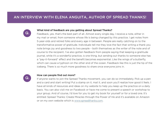

#### What kind of feedback are you getting about Spread Thanks?

Feedback, yes, that's the best part of all. Almost every single day, I receive a note, either in my mail or email, from someone whose life is being changed by this practice. I get notes from 5-year-olds and retired folks and every age in between. People are really catching on to the transformative power of gratitude. Individuals tell me they love the fact that writing a thank you note brings joy and goodness to two people – both themselves as the writer of the note and of course to the recipient. I've also gotten feedback from people saying that keeping a gratitude journal, while it's a wonderful practice, is one thing, but sending out thanks to someone else has a "pay-it-forward" effect and the benefit becomes exponential. Like the wings of a butterfly, which can cause a typhoon on the other end of the ocean. Feedback like this is just the tip of the iceberg. There is so much more goodness to share once everyone joins in.



#### How can people find out more?

If anyone wants to join the Spread Thanks movement, you can do so immediately. Pick up a pen and a card and start writing! Put a stamp on it, mail it, and soon you'll realize how good it feels. I have all kinds of resources and ideas on my website to help you keep up the practice on a daily basis. You can also visit me on Facebook or have me come to present a speech or workshop to your group. And of course, I'd love for you to get my book for yourself or for a loved one. It's entitled: Spread Thanks: Create Miracles through the Power of Ink and it's available on Amazon or on my own website which is [www.spreadthanks.com](http://www.spreadthanks.com).